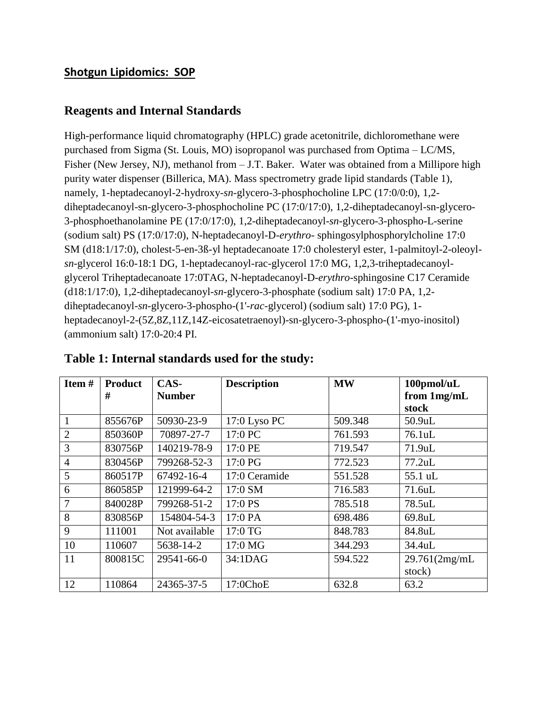### **Shotgun Lipidomics: SOP**

#### **Reagents and Internal Standards**

High-performance liquid chromatography (HPLC) grade acetonitrile, dichloromethane were purchased from Sigma (St. Louis, MO) isopropanol was purchased from Optima – LC/MS, Fisher (New Jersey, NJ), methanol from – J.T. Baker. Water was obtained from a Millipore high purity water dispenser (Billerica, MA). Mass spectrometry grade lipid standards (Table 1), namely, 1-heptadecanoyl-2-hydroxy-*sn*-glycero-3-phosphocholine LPC (17:0/0:0), 1,2 diheptadecanoyl-sn-glycero-3-phosphocholine PC (17:0/17:0), 1,2-diheptadecanoyl-sn-glycero-3-phosphoethanolamine PE (17:0/17:0), 1,2-diheptadecanoyl-*sn*-glycero-3-phospho-L-serine (sodium salt) PS (17:0/17:0), N-heptadecanoyl-D-*erythro*- sphingosylphosphorylcholine 17:0 SM (d18:1/17:0), cholest-5-en-3ß-yl heptadecanoate 17:0 cholesteryl ester, 1-palmitoyl-2-oleoyl*sn*-glycerol 16:0-18:1 DG, 1-heptadecanoyl-rac-glycerol 17:0 MG, 1,2,3-triheptadecanoylglycerol Triheptadecanoate 17:0TAG, N-heptadecanoyl-D-*erythro*-sphingosine C17 Ceramide (d18:1/17:0), 1,2-diheptadecanoyl-*sn*-glycero-3-phosphate (sodium salt) 17:0 PA, 1,2 diheptadecanoyl-*sn*-glycero-3-phospho-(1'-*rac*-glycerol) (sodium salt) 17:0 PG), 1 heptadecanoyl-2-(5Z,8Z,11Z,14Z-eicosatetraenoyl)-sn-glycero-3-phospho-(1'-myo-inositol) (ammonium salt) 17:0-20:4 PI.

| Item#          | <b>Product</b> | CAS-          | <b>Description</b> | <b>MW</b> | 100pmol/uL    |
|----------------|----------------|---------------|--------------------|-----------|---------------|
|                | #              | <b>Number</b> |                    |           | from 1mg/mL   |
|                |                |               |                    |           | stock         |
| 1              | 855676P        | 50930-23-9    | 17:0 Lyso PC       | 509.348   | 50.9uL        |
| $\overline{2}$ | 850360P        | 70897-27-7    | 17:0 PC            | 761.593   | 76.1uL        |
| 3              | 830756P        | 140219-78-9   | 17:0 PE            | 719.547   | 71.9uL        |
| $\overline{4}$ | 830456P        | 799268-52-3   | 17:0 PG            | 772.523   | $77.2$ uL     |
| 5              | 860517P        | 67492-16-4    | 17:0 Ceramide      | 551.528   | 55.1 uL       |
| 6              | 860585P        | 121999-64-2   | 17:0 SM            | 716.583   | 71.6uL        |
| 7              | 840028P        | 799268-51-2   | 17:0 PS            | 785.518   | 78.5uL        |
| 8              | 830856P        | 154804-54-3   | 17:0 PA            | 698.486   | 69.8uL        |
| 9              | 111001         | Not available | 17:0 TG            | 848.783   | 84.8uL        |
| 10             | 110607         | 5638-14-2     | 17:0 MG            | 344.293   | 34.4uL        |
| 11             | 800815C        | 29541-66-0    | 34:1DAG            | 594.522   | 29.761(2mg/mL |
|                |                |               |                    |           | stock)        |
| 12             | 110864         | 24365-37-5    | 17:0ChoE           | 632.8     | 63.2          |

#### **Table 1: Internal standards used for the study:**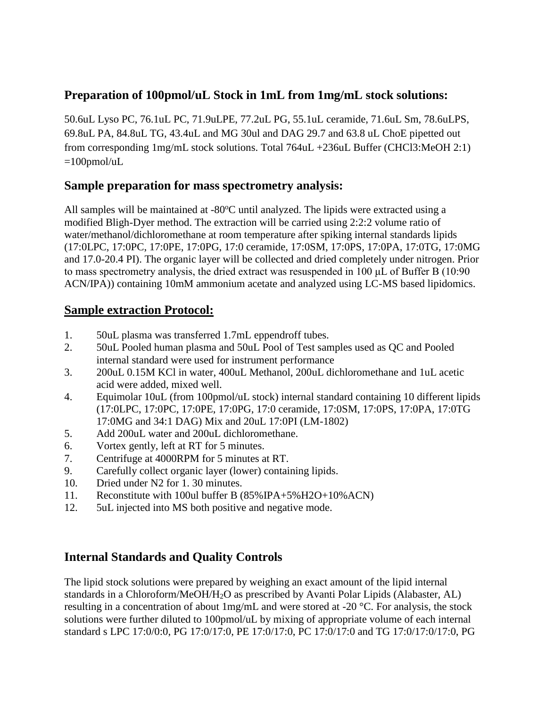# **Preparation of 100pmol/uL Stock in 1mL from 1mg/mL stock solutions:**

50.6uL Lyso PC, 76.1uL PC, 71.9uLPE, 77.2uL PG, 55.1uL ceramide, 71.6uL Sm, 78.6uLPS, 69.8uL PA, 84.8uL TG, 43.4uL and MG 30ul and DAG 29.7 and 63.8 uL ChoE pipetted out from corresponding 1mg/mL stock solutions. Total 764uL +236uL Buffer (CHCl3:MeOH 2:1)  $=100$ pmol/uL

## **Sample preparation for mass spectrometry analysis:**

All samples will be maintained at  $-80^{\circ}$ C until analyzed. The lipids were extracted using a modified Bligh-Dyer method. The extraction will be carried using 2:2:2 volume ratio of water/methanol/dichloromethane at room temperature after spiking internal standards lipids (17:0LPC, 17:0PC, 17:0PE, 17:0PG, 17:0 ceramide, 17:0SM, 17:0PS, 17:0PA, 17:0TG, 17:0MG and 17.0-20.4 PI). The organic layer will be collected and dried completely under nitrogen. Prior to mass spectrometry analysis, the dried extract was resuspended in 100 μL of Buffer B (10:90 ACN/IPA)) containing 10mM ammonium acetate and analyzed using LC-MS based lipidomics.

## **Sample extraction Protocol:**

- 1. 50uL plasma was transferred 1.7mL eppendroff tubes.
- 2. 50uL Pooled human plasma and 50uL Pool of Test samples used as QC and Pooled internal standard were used for instrument performance
- 3. 200uL 0.15M KCl in water, 400uL Methanol, 200uL dichloromethane and 1uL acetic acid were added, mixed well.
- 4. Equimolar 10uL (from 100pmol/uL stock) internal standard containing 10 different lipids (17:0LPC, 17:0PC, 17:0PE, 17:0PG, 17:0 ceramide, 17:0SM, 17:0PS, 17:0PA, 17:0TG 17:0MG and 34:1 DAG) Mix and 20uL 17:0PI (LM-1802)
- 5. Add 200uL water and 200uL dichloromethane.
- 6. Vortex gently, left at RT for 5 minutes.
- 7. Centrifuge at 4000RPM for 5 minutes at RT.
- 9. Carefully collect organic layer (lower) containing lipids.
- 10. Dried under N2 for 1. 30 minutes.
- 11. Reconstitute with 100ul buffer B (85%IPA+5%H2O+10%ACN)
- 12. 5uL injected into MS both positive and negative mode.

# **Internal Standards and Quality Controls**

The lipid stock solutions were prepared by weighing an exact amount of the lipid internal standards in a Chloroform/MeOH/H2O as prescribed by Avanti Polar Lipids (Alabaster, AL) resulting in a concentration of about 1mg/mL and were stored at -20 °C. For analysis, the stock solutions were further diluted to 100pmol/uL by mixing of appropriate volume of each internal standard s LPC 17:0/0:0, PG 17:0/17:0, PE 17:0/17:0, PC 17:0/17:0 and TG 17:0/17:0/17:0, PG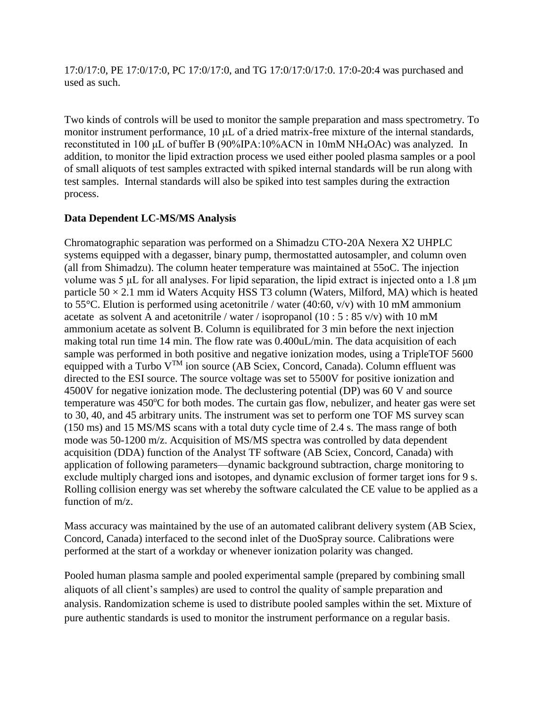17:0/17:0, PE 17:0/17:0, PC 17:0/17:0, and TG 17:0/17:0/17:0. 17:0-20:4 was purchased and used as such.

Two kinds of controls will be used to monitor the sample preparation and mass spectrometry. To monitor instrument performance, 10 μL of a dried matrix-free mixture of the internal standards, reconstituted in 100 μL of buffer B (90%IPA:10%ACN in 10mM NH4OAc) was analyzed. In addition, to monitor the lipid extraction process we used either pooled plasma samples or a pool of small aliquots of test samples extracted with spiked internal standards will be run along with test samples. Internal standards will also be spiked into test samples during the extraction process.

#### **Data Dependent LC-MS/MS Analysis**

Chromatographic separation was performed on a Shimadzu CTO-20A Nexera X2 UHPLC systems equipped with a degasser, binary pump, thermostatted autosampler, and column oven (all from Shimadzu). The column heater temperature was maintained at 55oC. The injection volume was 5 μL for all analyses. For lipid separation, the lipid extract is injected onto a 1.8 μm particle  $50 \times 2.1$  mm id Waters Acquity HSS T3 column (Waters, Milford, MA) which is heated to 55 $^{\circ}$ C. Elution is performed using acetonitrile / water (40:60, v/v) with 10 mM ammonium acetate as solvent A and acetonitrile / water / isopropanol (10 :  $5 : 85$  v/v) with 10 mM ammonium acetate as solvent B. Column is equilibrated for 3 min before the next injection making total run time 14 min. The flow rate was 0.400uL/min. The data acquisition of each sample was performed in both positive and negative ionization modes, using a TripleTOF 5600 equipped with a Turbo  $V^{TM}$  ion source (AB Sciex, Concord, Canada). Column effluent was directed to the ESI source. The source voltage was set to 5500V for positive ionization and 4500V for negative ionization mode. The declustering potential (DP) was 60 V and source temperature was  $450^{\circ}$ C for both modes. The curtain gas flow, nebulizer, and heater gas were set to 30, 40, and 45 arbitrary units. The instrument was set to perform one TOF MS survey scan (150 ms) and 15 MS/MS scans with a total duty cycle time of 2.4 s. The mass range of both mode was 50-1200 m/z. Acquisition of MS/MS spectra was controlled by data dependent acquisition (DDA) function of the Analyst TF software (AB Sciex, Concord, Canada) with application of following parameters—dynamic background subtraction, charge monitoring to exclude multiply charged ions and isotopes, and dynamic exclusion of former target ions for 9 s. Rolling collision energy was set whereby the software calculated the CE value to be applied as a function of m/z.

Mass accuracy was maintained by the use of an automated calibrant delivery system (AB Sciex, Concord, Canada) interfaced to the second inlet of the DuoSpray source. Calibrations were performed at the start of a workday or whenever ionization polarity was changed.

Pooled human plasma sample and pooled experimental sample (prepared by combining small aliquots of all client's samples) are used to control the quality of sample preparation and analysis. Randomization scheme is used to distribute pooled samples within the set. Mixture of pure authentic standards is used to monitor the instrument performance on a regular basis.